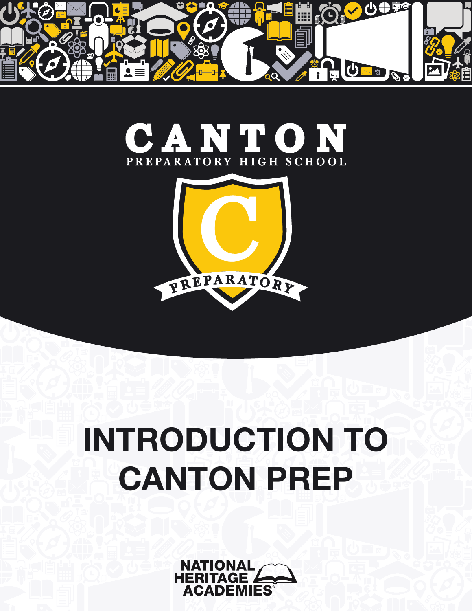





# INTRODUCTION TO CANTON PREP

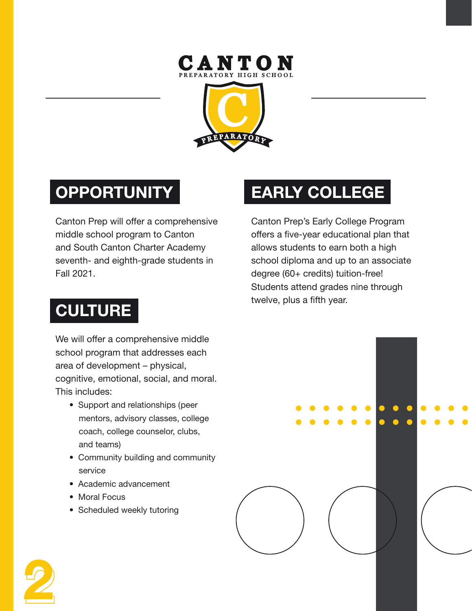## **CANTON**<br>PREPARATORY HIGH SCHOOL



## **OPPORTUNITY**

Canton Prep will offer a comprehensive middle school program to Canton and South Canton Charter Academy seventh- and eighth-grade students in Fall 2021.

## EARLY COLLEGE

Canton Prep's Early College Program offers a five-year educational plan that allows students to earn both a high school diploma and up to an associate degree (60+ credits) tuition-free! Students attend grades nine through twelve, plus a fifth year.

## **CULTURE**

We will offer a comprehensive middle school program that addresses each area of development – physical, cognitive, emotional, social, and moral. This includes:

- Support and relationships (peer mentors, advisory classes, college coach, college counselor, clubs, and teams)
- Community building and community service
- Academic advancement
- Moral Focus
- Scheduled weekly tutoring

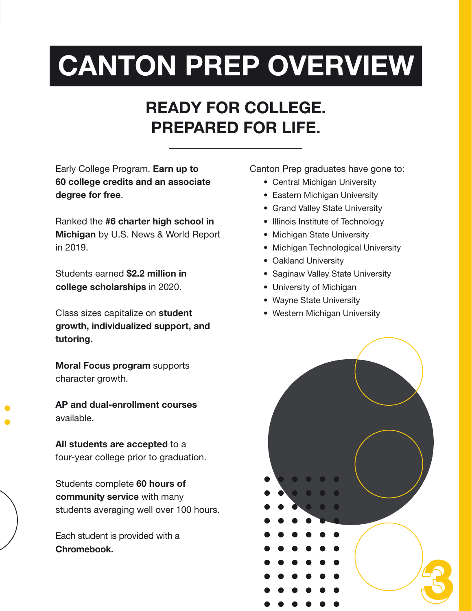## CANTON PREP OVERVIEW

## READY FOR COLLEGE. PREPARED FOR LIFE.

Early College Program. Earn up to 60 college credits and an associate degree for free.

Ranked the #6 charter high school in Michigan by U.S. News & World Report in 2019.

Students earned \$2.2 million in college scholarships in 2020.

Class sizes capitalize on student growth, individualized support, and tutoring.

Moral Focus program supports character growth.

AP and dual-enrollment courses available.

All students are accepted to a four-year college prior to graduation.

Students complete 60 hours of community service with many students averaging well over 100 hours.

Each student is provided with a Chromebook.

Canton Prep graduates have gone to:

- Central Michigan University
- Eastern Michigan University
- Grand Valley State University
- Illinois Institute of Technology
- Michigan State University
- Michigan Technological University
- Oakland University
- Saginaw Valley State University
- University of Michigan
- Wayne State University
- Western Michigan University

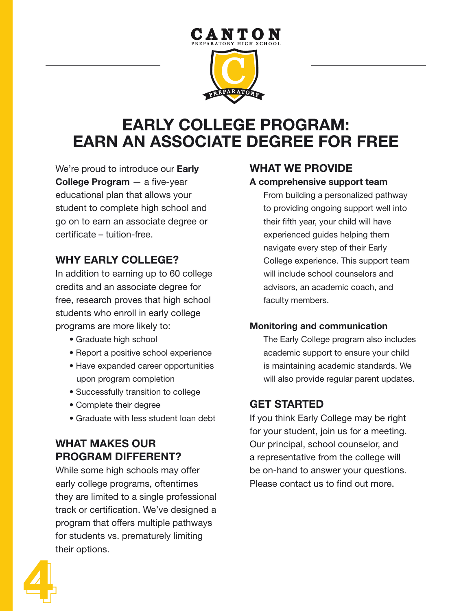

### EARLY COLLEGE PROGRAM: EARN AN ASSOCIATE DEGREE FOR FREE

We're proud to introduce our **Early** College Program — a five-year educational plan that allows your student to complete high school and go on to earn an associate degree or certificate – tuition-free.

#### WHY EARLY COLLEGE?

In addition to earning up to 60 college credits and an associate degree for free, research proves that high school students who enroll in early college programs are more likely to:

- Graduate high school
- Report a positive school experience
- Have expanded career opportunities upon program completion
- Successfully transition to college
- Complete their degree
- Graduate with less student loan debt

#### WHAT MAKES OUR PROGRAM DIFFERENT?

While some high schools may offer early college programs, oftentimes they are limited to a single professional track or certification. We've designed a program that offers multiple pathways for students vs. prematurely limiting their options.

#### WHAT WE PROVIDE

#### A comprehensive support team

From building a personalized pathway to providing ongoing support well into their fifth year, your child will have experienced guides helping them navigate every step of their Early College experience. This support team will include school counselors and advisors, an academic coach, and faculty members.

#### Monitoring and communication

The Early College program also includes academic support to ensure your child is maintaining academic standards. We will also provide regular parent updates.

#### GET STARTED

If you think Early College may be right for your student, join us for a meeting. Our principal, school counselor, and a representative from the college will be on-hand to answer your questions. Please contact us to find out more.

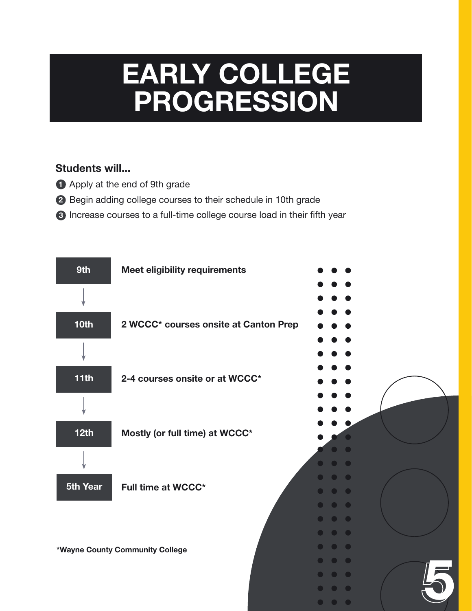## EARLY COLLEGE PROGRESSION

#### Students will...

- **1** Apply at the end of 9th grade
- 2 Begin adding college courses to their schedule in 10th grade
- 3 Increase courses to a full-time college course load in their fifth year

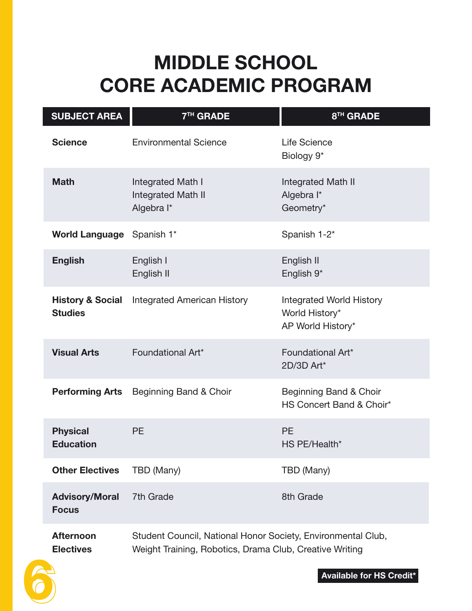## MIDDLE SCHOOL CORE ACADEMIC PROGRAM

| <b>SUBJECT AREA</b><br>7 <sup>TH</sup> GRADE  |                                                                                                                         | 8 <sup>TH</sup> GRADE                                                  |  |  |
|-----------------------------------------------|-------------------------------------------------------------------------------------------------------------------------|------------------------------------------------------------------------|--|--|
| <b>Science</b>                                | <b>Environmental Science</b>                                                                                            | Life Science<br>Biology 9 <sup>*</sup>                                 |  |  |
| <b>Math</b>                                   | Integrated Math I<br><b>Integrated Math II</b><br>Algebra I*                                                            | Integrated Math II<br>Algebra I*<br>Geometry*                          |  |  |
| <b>World Language</b>                         | Spanish 1*                                                                                                              | Spanish 1-2*                                                           |  |  |
| <b>English</b>                                | English I<br>English II                                                                                                 | English II<br>English 9*                                               |  |  |
| <b>History &amp; Social</b><br><b>Studies</b> | <b>Integrated American History</b>                                                                                      | <b>Integrated World History</b><br>World History*<br>AP World History* |  |  |
| <b>Visual Arts</b>                            | Foundational Art*                                                                                                       | Foundational Art*<br>2D/3D Art*                                        |  |  |
| <b>Performing Arts</b>                        | Beginning Band & Choir                                                                                                  | Beginning Band & Choir<br>HS Concert Band & Choir*                     |  |  |
| <b>Physical</b><br><b>Education</b>           | <b>PE</b>                                                                                                               | <b>PE</b><br>HS PE/Health*                                             |  |  |
| <b>Other Electives</b>                        | TBD (Many)                                                                                                              | TBD (Many)                                                             |  |  |
| <b>Advisory/Moral</b><br><b>Focus</b>         | 7th Grade                                                                                                               | 8th Grade                                                              |  |  |
| <b>Afternoon</b><br><b>Electives</b>          | Student Council, National Honor Society, Environmental Club,<br>Weight Training, Robotics, Drama Club, Creative Writing |                                                                        |  |  |

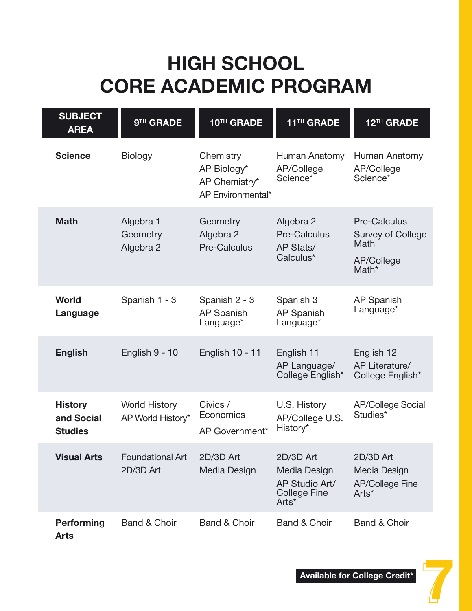## HIGH SCHOOL CORE ACADEMIC PROGRAM

| <b>SUBJECT</b><br><b>AREA</b>                  | 9 <sup>TH</sup> GRADE                     | 10TH GRADE                                                     | 11 <sup>TH</sup> GRADE                                                      | 12 <sup>TH</sup> GRADE                                                                     |
|------------------------------------------------|-------------------------------------------|----------------------------------------------------------------|-----------------------------------------------------------------------------|--------------------------------------------------------------------------------------------|
| <b>Science</b>                                 | <b>Biology</b>                            | Chemistry<br>AP Biology*<br>AP Chemistry*<br>AP Environmental* | Human Anatomy<br>AP/College<br>Science*                                     | Human Anatomy<br>AP/College<br>Science*                                                    |
| <b>Math</b>                                    | Algebra 1<br>Geometry<br>Algebra 2        | Geometry<br>Algebra 2<br><b>Pre-Calculus</b>                   | Algebra 2<br><b>Pre-Calculus</b><br>AP Stats/<br>Calculus*                  | <b>Pre-Calculus</b><br><b>Survey of College</b><br>Math<br>AP/College<br>Math <sup>*</sup> |
| <b>World</b><br>Language                       | Spanish 1 - 3                             | Spanish 2 - 3<br><b>AP Spanish</b><br>Language*                | Spanish 3<br><b>AP Spanish</b><br>Language*                                 | <b>AP Spanish</b><br>Language*                                                             |
| <b>English</b>                                 | English 9 - 10                            | English 10 - 11                                                | English 11<br>AP Language/<br>College English*                              | English 12<br>AP Literature/<br>College English*                                           |
| <b>History</b><br>and Social<br><b>Studies</b> | <b>World History</b><br>AP World History* | Civics /<br>Economics<br>AP Government*                        | U.S. History<br>AP/College U.S.<br>History*                                 | <b>AP/College Social</b><br>Studies*                                                       |
| <b>Visual Arts</b>                             | <b>Foundational Art</b><br>2D/3D Art      | 2D/3D Art<br>Media Design                                      | 2D/3D Art<br>Media Design<br>AP Studio Art/<br><b>College Fine</b><br>Arts* | 2D/3D Art<br>Media Design<br><b>AP/College Fine</b><br>Arts*                               |
| <b>Performing</b><br><b>Arts</b>               | <b>Band &amp; Choir</b>                   | <b>Band &amp; Choir</b>                                        | <b>Band &amp; Choir</b>                                                     | <b>Band &amp; Choir</b>                                                                    |

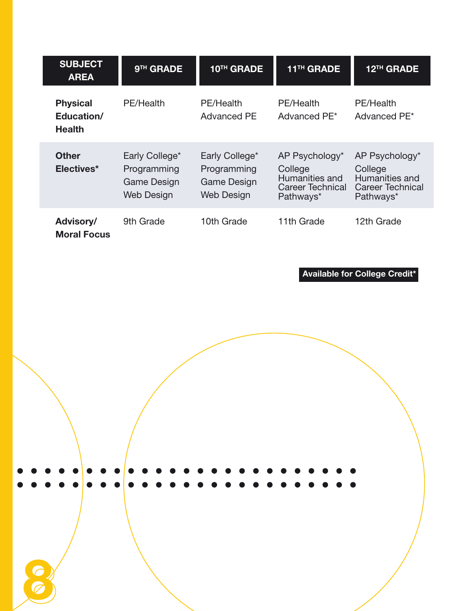| <b>SUBJECT</b><br><b>AREA</b>                  | 9 <sup>TH</sup> GRADE                                             | 10 <sup>TH</sup> GRADE                                            | 11 <sup>TH</sup> GRADE                                                              | 12 <sup>TH</sup> GRADE                                                              |
|------------------------------------------------|-------------------------------------------------------------------|-------------------------------------------------------------------|-------------------------------------------------------------------------------------|-------------------------------------------------------------------------------------|
| <b>Physical</b><br>Education/<br><b>Health</b> | PE/Health                                                         | PE/Health<br>Advanced PE                                          | PE/Health<br>Advanced PE <sup>*</sup>                                               | PE/Health<br>Advanced PE <sup>*</sup>                                               |
| <b>Other</b><br>Electives*                     | Early College*<br>Programming<br>Game Design<br><b>Web Design</b> | Early College*<br>Programming<br>Game Design<br><b>Web Design</b> | AP Psychology*<br>College<br>Humanities and<br><b>Career Technical</b><br>Pathways* | AP Psychology*<br>College<br>Humanities and<br><b>Career Technical</b><br>Pathways* |
| Advisory/<br><b>Moral Focus</b>                | 9th Grade                                                         | 10th Grade                                                        | 11th Grade                                                                          | 12th Grade                                                                          |

Available for College Credit\*

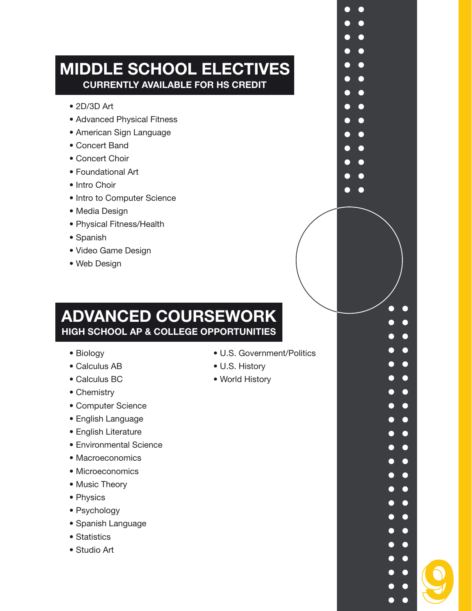#### MIDDLE SCHOOL ELECTIVES CURRENTLY AVAILABLE FOR HS CREDIT

- 2D/3D Art
- Advanced Physical Fitness
- American Sign Language
- Concert Band
- Concert Choir
- Foundational Art
- Intro Choir
- Intro to Computer Science
- Media Design
- Physical Fitness/Health
- Spanish
- Video Game Design
- Web Design

#### ADVANCED COURSEWORK HIGH SCHOOL AP & COLLEGE OPPORTUNITIES

- Biology
- Calculus AB
- Calculus BC
- Chemistry
- Computer Science
- English Language
- English Literature
- Environmental Science
- Macroeconomics
- Microeconomics
- Music Theory
- Physics
- Psychology
- Spanish Language
- Statistics
- Studio Art

• U.S. Government/Politics

 $\bullet$ 

 $\bullet$  $\blacksquare$  $\blacksquare$  $\bullet$  $\bullet$ 

9

 $\bullet$ ⊂

 $\bullet$  $\bullet$  $\blacksquare$  $\bullet$  $\bullet$  $\bullet$  $\bullet$  $\bullet$  $\bullet$  $\bullet$  $\bullet$  $\bullet$ Г  $\bullet$  $\bullet$  $\bullet$ 

- U.S. History
- World History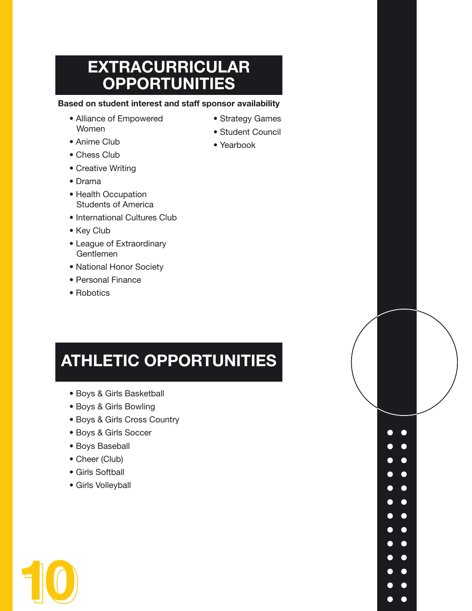### EXTRACURRICULAR **OPPORTUNITIES**

#### Based on student interest and staff sponsor availability

- Alliance of Empowered Women
- Anime Club
- Chess Club
- Creative Writing
- Drama
- Health Occupation Students of America
- International Cultures Club
- Key Club
- League of Extraordinary Gentlemen
- National Honor Society
- Personal Finance
- Robotics

## ATHLETIC OPPORTUNITIES

- Boys & Girls Basketball
- Boys & Girls Bowling
- Boys & Girls Cross Country
- Boys & Girls Soccer
- Boys Baseball
- Cheer (Club)
- Girls Softball
- Girls Volleyball



- Strategy Games
- Student Council

 $\bullet\quad \bullet$  $\bullet$  $\bullet$   $\bullet$  $\bullet\quad \bullet$  $\bullet\quadbullet$  $\bullet\quad \bullet$  $\bullet\quad \bullet$  $\bullet\quad \bullet$  $\bullet\quadbullet$  $\bullet\quad \bullet$  $\bullet\quad \bullet$  $\bullet$ **O**  $\bullet$ 

• Yearbook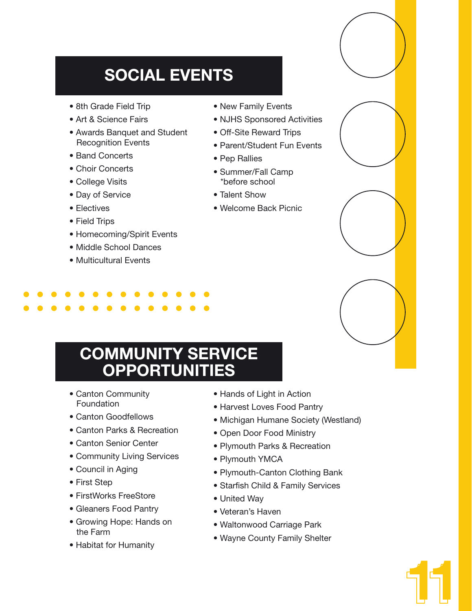## SOCIAL EVENTS

- 8th Grade Field Trip
- Art & Science Fairs
- Awards Banquet and Student Recognition Events
- Band Concerts
- Choir Concerts
- College Visits
- Day of Service
- Electives
- Field Trips
- Homecoming/Spirit Events
- Middle School Dances
- Multicultural Events
- New Family Events
- NJHS Sponsored Activities
- Off-Site Reward Trips
- Parent/Student Fun Events
- Pep Rallies
- Summer/Fall Camp \*before school
- Talent Show
- Welcome Back Picnic

### COMMUNITY SERVICE **OPPORTUNITIES**

- Canton Community Foundation
- Canton Goodfellows
- Canton Parks & Recreation
- Canton Senior Center
- Community Living Services
- Council in Aging
- First Step
- FirstWorks FreeStore
- Gleaners Food Pantry
- Growing Hope: Hands on the Farm
- Habitat for Humanity
- Hands of Light in Action
- Harvest Loves Food Pantry
- Michigan Humane Society (Westland)
- Open Door Food Ministry
- Plymouth Parks & Recreation
- Plymouth YMCA
- Plymouth-Canton Clothing Bank
- Starfish Child & Family Services
- United Way
- Veteran's Haven
- Waltonwood Carriage Park
- Wayne County Family Shelter

11